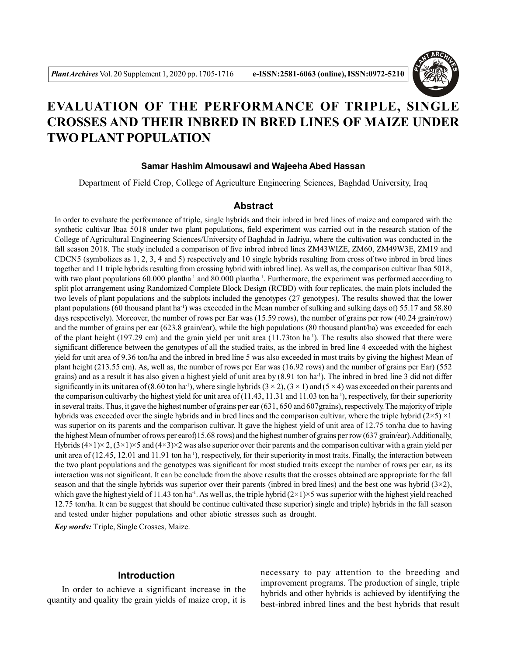

# **EVALUATION OF THE PERFORMANCE OF TRIPLE, SINGLE CROSSES AND THEIR INBRED IN BRED LINES OF MAIZE UNDER TWO PLANT POPULATION**

## **Samar Hashim Almousawi and Wajeeha Abed Hassan**

Department of Field Crop, College of Agriculture Engineering Sciences, Baghdad University, Iraq

# **Abstract**

In order to evaluate the performance of triple, single hybrids and their inbred in bred lines of maize and compared with the synthetic cultivar Ibaa 5018 under two plant populations, field experiment was carried out in the research station of the College of Agricultural Engineering Sciences/University of Baghdad in Jadriya, where the cultivation was conducted in the fall season 2018. The study included a comparison of five inbred inbred lines ZM43WIZE, ZM60, ZM49W3E, ZM19 and CDCN5 (symbolizes as 1, 2, 3, 4 and 5) respectively and 10 single hybrids resulting from cross of two inbred in bred lines together and 11 triple hybrids resulting from crossing hybrid with inbred line). As well as, the comparison cultivar Ibaa 5018, with two plant populations  $60.000$  plantha<sup>-1</sup> and  $80.000$  plantha<sup>-1</sup>. Furthermore, the experiment was performed according to split plot arrangement using Randomized Complete Block Design (RCBD) with four replicates, the main plots included the two levels of plant populations and the subplots included the genotypes (27 genotypes). The results showed that the lower plant populations (60 thousand plant ha<sup>-1</sup>) was exceeded in the Mean number of sulking and sulking days of) 55.17 and 58.80 days respectively). Moreover, the number of rows per Ear was (15.59 rows), the number of grains per row (40.24 grain/row) and the number of grains per ear (623.8 grain/ear), while the high populations (80 thousand plant/ha) was exceeded for each of the plant height (197.29 cm) and the grain yield per unit area (11.73ton ha<sup>-1</sup>). The results also showed that there were significant difference between the genotypes of all the studied traits, as the inbred in bred line 4 exceeded with the highest yield for unit area of 9.36 ton/ha and the inbred in bred line 5 was also exceeded in most traits by giving the highest Mean of plant height (213.55 cm). As, well as, the number of rows per Ear was (16.92 rows) and the number of grains per Ear) (552 grains) and as a result it has also given a highest yield of unit area by (8.91 ton ha<sup>-1</sup>). The inbred in bred line 3 did not differ significantly in its unit area of (8.60 ton ha<sup>-1</sup>), where single hybrids (3 × 2), (3 × 1) and (5 × 4) was exceeded on their parents and the comparison cultivarby the highest yield for unit area of  $(11.43, 11.31, 11.31)$  and  $(11.03, 11.31)$  respectively, for their superiority in several traits. Thus, it gave the highest number of grains per ear (631, 650 and 607grains), respectively. The majority of triple hybrids was exceeded over the single hybrids and in bred lines and the comparison cultivar, where the triple hybrid  $(2\times5) \times1$ was superior on its parents and the comparison cultivar. It gave the highest yield of unit area of 12.75 ton/ha due to having the highest Mean of number of rows per earof)15.68 rows) and the highest number of grains per row (637 grain/ear).Additionally, Hybrids  $(4\times1)\times2$ ,  $(3\times1)\times5$  and  $(4\times3)\times2$  was also superior over their parents and the comparison cultivar with a grain yield per unit area of  $(12.45, 12.01$  and  $11.91$  ton ha<sup>-1</sup>), respectively, for their superiority in most traits. Finally, the interaction between the two plant populations and the genotypes was significant for most studied traits except the number of rows per ear, as its interaction was not significant. It can be conclude from the above results that the crosses obtained are appropriate for the fall season and that the single hybrids was superior over their parents (inbred in bred lines) and the best one was hybrid  $(3\times 2)$ , which gave the highest yield of 11.43 ton ha<sup>-1</sup>. As well as, the triple hybrid  $(2\times1)\times5$  was superior with the highest yield reached 12.75 ton/ha. It can be suggest that should be continue cultivated these superior) single and triple) hybrids in the fall season and tested under higher populations and other abiotic stresses such as drought.

*Key words:* Triple, Single Crosses, Maize.

# **Introduction**

In order to achieve a significant increase in the quantity and quality the grain yields of maize crop, it is necessary to pay attention to the breeding and improvement programs. The production of single, triple hybrids and other hybrids is achieved by identifying the best-inbred inbred lines and the best hybrids that result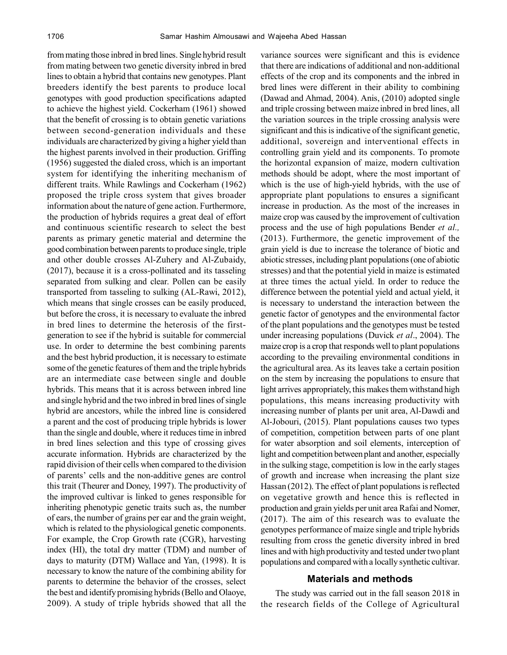from mating those inbred in bred lines. Single hybrid result from mating between two genetic diversity inbred in bred lines to obtain a hybrid that contains new genotypes. Plant breeders identify the best parents to produce local genotypes with good production specifications adapted to achieve the highest yield. Cockerham (1961) showed that the benefit of crossing is to obtain genetic variations between second-generation individuals and these individuals are characterized by giving a higher yield than the highest parents involved in their production. Griffing (1956) suggested the dialed cross, which is an important system for identifying the inheriting mechanism of different traits. While Rawlings and Cockerham (1962) proposed the triple cross system that gives broader information about the nature of gene action. Furthermore, the production of hybrids requires a great deal of effort and continuous scientific research to select the best parents as primary genetic material and determine the good combination between parents to produce single, triple and other double crosses Al-Zuhery and Al-Zubaidy, (2017), because it is a cross-pollinated and its tasseling separated from sulking and clear. Pollen can be easily transported from tasseling to sulking (AL-Rawi, 2012), which means that single crosses can be easily produced, but before the cross, it is necessary to evaluate the inbred in bred lines to determine the heterosis of the firstgeneration to see if the hybrid is suitable for commercial use. In order to determine the best combining parents and the best hybrid production, it is necessary to estimate some of the genetic features of them and the triple hybrids are an intermediate case between single and double hybrids. This means that it is across between inbred line and single hybrid and the two inbred in bred lines of single hybrid are ancestors, while the inbred line is considered a parent and the cost of producing triple hybrids is lower than the single and double, where it reduces time in inbred in bred lines selection and this type of crossing gives accurate information. Hybrids are characterized by the rapid division of their cells when compared to the division of parents' cells and the non-additive genes are control this trait (Theurer and Doney, 1997). The productivity of the improved cultivar is linked to genes responsible for inheriting phenotypic genetic traits such as, the number of ears, the number of grains per ear and the grain weight, which is related to the physiological genetic components. For example, the Crop Growth rate (CGR), harvesting index (HI), the total dry matter (TDM) and number of days to maturity (DTM) Wallace and Yan, (1998). It is necessary to know the nature of the combining ability for parents to determine the behavior of the crosses, select the best and identify promising hybrids (Bello and Olaoye, 2009). A study of triple hybrids showed that all the

variance sources were significant and this is evidence that there are indications of additional and non-additional effects of the crop and its components and the inbred in bred lines were different in their ability to combining (Dawad and Ahmad, 2004). Anis, (2010) adopted single and triple crossing between maize inbred in bred lines, all the variation sources in the triple crossing analysis were significant and this is indicative of the significant genetic, additional, sovereign and interventional effects in controlling grain yield and its components. To promote the horizontal expansion of maize, modern cultivation methods should be adopt, where the most important of which is the use of high-yield hybrids, with the use of appropriate plant populations to ensures a significant increase in production. As the most of the increases in maize crop was caused by the improvement of cultivation process and the use of high populations Bender *et al.,* (2013). Furthermore, the genetic improvement of the grain yield is due to increase the tolerance of biotic and abiotic stresses, including plant populations (one of abiotic stresses) and that the potential yield in maize is estimated at three times the actual yield. In order to reduce the difference between the potential yield and actual yield, it is necessary to understand the interaction between the genetic factor of genotypes and the environmental factor of the plant populations and the genotypes must be tested under increasing populations (Duvick *et al*., 2004). The maize crop is a crop that responds well to plant populations according to the prevailing environmental conditions in the agricultural area. As its leaves take a certain position on the stem by increasing the populations to ensure that light arrives appropriately, this makes them withstand high populations, this means increasing productivity with increasing number of plants per unit area, Al-Dawdi and Al-Jobouri, (2015). Plant populations causes two types of competition, competition between parts of one plant for water absorption and soil elements, interception of light and competition between plant and another, especially in the sulking stage, competition is low in the early stages of growth and increase when increasing the plant size Hassan (2012). The effect of plant populations is reflected on vegetative growth and hence this is reflected in production and grain yields per unit area Rafai and Nomer, (2017). The aim of this research was to evaluate the genotypes performance of maize single and triple hybrids resulting from cross the genetic diversity inbred in bred lines and with high productivity and tested under two plant populations and compared with a locally synthetic cultivar.

## **Materials and methods**

The study was carried out in the fall season 2018 in the research fields of the College of Agricultural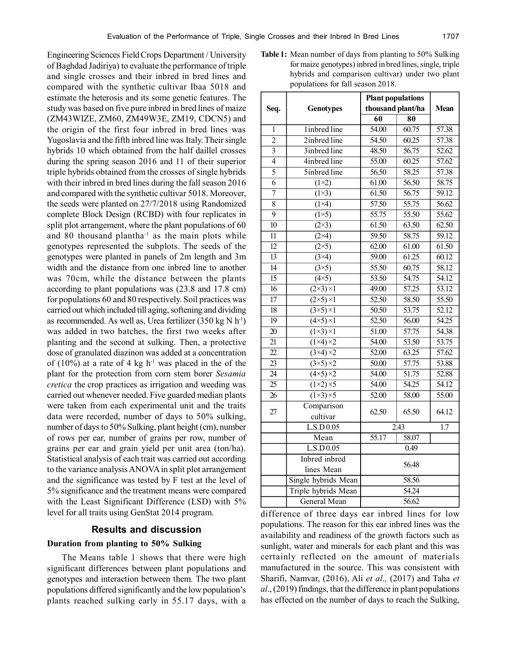Engineering Sciences Field Crops Department / University of Baghdad Jadiriya) to evaluate the performance of triple and single crosses and their inbred in bred lines and compared with the synthetic cultivar Ibaa 5018 and estimate the heterosis and its some genetic features. The study was based on five pure inbred in bred lines of maize (ZM43WIZE, ZM60, ZM49W3E, ZM19, CDCN5) and the origin of the first four inbred in bred lines was Yugoslavia and the fifth inbred line was Italy. Their single hybrids 10 which obtained from the half daillel crosses during the spring season 2016 and 11 of their superior triple hybrids obtained from the crosses of single hybrids with their inbred in bred lines during the fall season 2016 and compared with the synthetic cultivar 5018. Moreover, the seeds were planted on 27/7/2018 using Randomized complete Block Design (RCBD) with four replicates in split plot arrangement, where the plant populations of 60 and 80 thousand plantha $^{-1}$  as the main plots while genotypes represented the subplots. The seeds of the genotypes were planted in panels of 2m length and 3m width and the distance from one inbred line to another was 70cm, while the distance between the plants according to plant populations was (23.8 and 17.8 cm) for populations 60 and 80 respectively. Soil practices was carried out which included till aging, softening and dividing as recommended. As well as, Urea fertilizer  $(350 \text{ kg N h}^{-1})$ was added in two batches, the first two weeks after planting and the second at sulking. Then, a protective dose of granulated diazinon was added at a concentration of  $(10\%)$  at a rate of 4 kg h<sup>-1</sup> was placed in the of the plant for the protection from corn stem borer *Sesamia cretica* the crop practices as irrigation and weeding was carried out whenever needed. Five guarded median plants were taken from each experimental unit and the traits data were recorded, number of days to 50% sulking, number of days to 50% Sulking, plant height (cm), number of rows per ear, number of grains per row, number of grains per ear and grain yield per unit area (ton/ha). Statistical analysis of each trait was carried out according to the variance analysis ANOVA in split plot arrangement and the significance was tested by F test at the level of 5% significance and the treatment means were compared with the Least Significant Difference (LSD) with 5% level for all traits using GenStat 2014 program.

## **Results and discussion**

#### **Duration from planting to 50% Sulking**

The Means table 1 shows that there were high significant differences between plant populations and genotypes and interaction between them. The two plant populations differed significantly and the low population's plants reached sulking early in 55.17 days, with a **Table 1:** Mean number of days from planting to 50% Sulking for maize genotypes) inbred in bred lines, single, triple hybrids and comparison cultivar) under two plant populations for fall season 2018.

|                 | <b>Genotypes</b>               | <b>Plant populations</b> |                     |                    |
|-----------------|--------------------------------|--------------------------|---------------------|--------------------|
| Seq.            |                                | thousand plant/ha        |                     | Mean               |
|                 |                                | $\overline{60}$          | $\overline{\bf 80}$ |                    |
| 1               | linbred line                   | 54.00                    | 60.75               | 57.38              |
| $\overline{2}$  | 2inbred line                   | $\overline{54.50}$       | 60.25               | 57.38              |
| $\overline{3}$  | 3inbred line                   | 48.50                    | 56.75               | 52.62              |
| $\overline{4}$  | 4inbred line                   | 55.00                    | 60.25               | 57.62              |
| $\overline{5}$  | 5inbred line                   | $\overline{56.50}$       | 58.25               | 57.38              |
| $\overline{6}$  | $(1\times 2)$                  | 61.00                    | $\overline{56.50}$  | 58.75              |
| $\overline{7}$  | $\overline{(1\times3)}$        | 61.50                    | $\overline{56.75}$  | $\overline{59.12}$ |
| $\overline{8}$  | $(1\times4)$                   | 57.50                    | 55.75               | 56.62              |
| $\overline{9}$  | $(1\times 5)$                  | $\overline{55.75}$       | $\overline{55.50}$  | $\overline{55.62}$ |
| 10              | $(2\times3)$                   | 61.50                    | 63.50               | 62.50              |
| $\overline{11}$ | $(2\times4)$                   | $\overline{59.50}$       | 58.75               | 59.12              |
| $\overline{12}$ | $\overline{(2\times 5)}$       | 62.00                    | 61.00               | 61.50              |
| $\overline{13}$ | $\overline{(3\times4)}$        | 59.00                    | 61.25               | 60.12              |
| $\overline{14}$ | $\overline{(3\times5)}$        | $\overline{55.50}$       | 60.75               | $\overline{58.12}$ |
| $\overline{15}$ | $\overline{(4\times5)}$        | $\overline{53.50}$       | 54.75               | $\overline{54.12}$ |
| 16              | $\overline{(2\times3)\times1}$ | 49.00                    | $\overline{57.25}$  | $\overline{53.12}$ |
| $\overline{17}$ | $\overline{(2\times5)\times1}$ | $\overline{52.50}$       | 58.50               | $\overline{55.50}$ |
| 18              | $\overline{(3\times5)\times1}$ | 50.50                    | 53.75               | $\overline{52.12}$ |
| $\overline{19}$ | $\overline{(4\times5)\times1}$ | 52.50                    | 56.00               | 54.25              |
| 20              | $\overline{(1\times3)\times1}$ | 51.00                    | 57.75               | 54.38              |
| 21              | $\overline{(1\times4)\times2}$ | 54.00                    | $\overline{53.50}$  | $\overline{53.75}$ |
| $\overline{22}$ | $(3\times4)\times2$            | 52.00                    | 63.25               | 57.62              |
| $\overline{23}$ | $\sqrt{(3\times5)\times2}$     | 50.00                    | 57.75               | 53.88              |
| 24              | $(4\times5)\times2$            | 54.00                    | 51.75               | 52.88              |
| $\overline{25}$ | $\overline{(1\times2)\times5}$ | 54.00                    | 54.25               | $\overline{54.12}$ |
| $\overline{26}$ | $\overline{(1\times3)\times5}$ | 52.00                    | 58.00               | 55.00              |
|                 | Comparison                     |                          |                     |                    |
| 27              | cultivar                       | 62.50                    | 65.50               | 64.12              |
|                 | L.S.D 0.05                     | 2.43                     |                     | $\overline{1.7}$   |
|                 | Mean                           | $\overline{55.17}$       | 58.07               |                    |
|                 | L.S.D 0.05                     | 0.49                     |                     |                    |
|                 | Inbred inbred                  |                          |                     |                    |
|                 | lines Mean                     | 56.48                    |                     |                    |
|                 | Single hybrids Mean            | 58.56                    |                     |                    |
|                 | Triple hybrids Mean            |                          | 54.24               |                    |
|                 | General Mean                   | 56.62                    |                     |                    |

difference of three days ear inbred lines for low populations. The reason for this ear inbred lines was the availability and readiness of the growth factors such as sunlight, water and minerals for each plant and this was certainly reflected on the amount of materials manufactured in the source. This was consistent with Sharifi, Namvar, (2016), Ali *et al.,* (2017) and Taha *et al*., (2019) findings, that the difference in plant populations has effected on the number of days to reach the Sulking,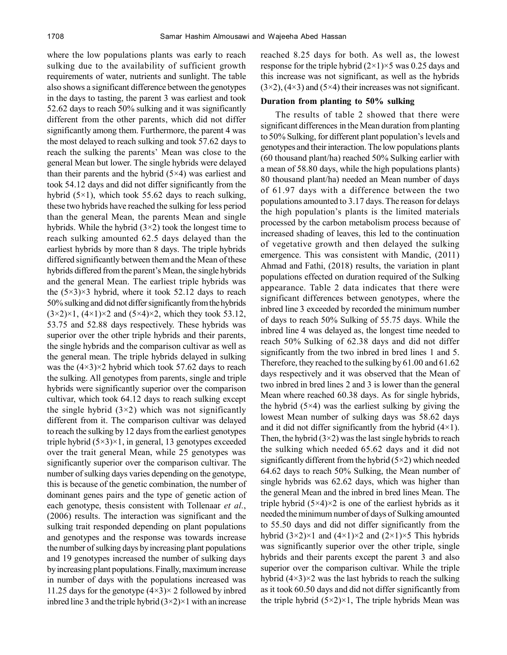where the low populations plants was early to reach sulking due to the availability of sufficient growth requirements of water, nutrients and sunlight. The table also shows a significant difference between the genotypes in the days to tasting, the parent 3 was earliest and took 52.62 days to reach 50% sulking and it was significantly different from the other parents, which did not differ significantly among them. Furthermore, the parent 4 was the most delayed to reach sulking and took 57.62 days to reach the sulking the parents' Mean was close to the general Mean but lower. The single hybrids were delayed than their parents and the hybrid  $(5\times4)$  was earliest and took 54.12 days and did not differ significantly from the hybrid  $(5\times1)$ , which took 55.62 days to reach sulking, these two hybrids have reached the sulking for less period than the general Mean, the parents Mean and single hybrids. While the hybrid  $(3\times2)$  took the longest time to reach sulking amounted 62.5 days delayed than the earliest hybrids by more than 8 days. The triple hybrids differed significantly between them and the Mean of these hybrids differed from the parent's Mean, the single hybrids and the general Mean. The earliest triple hybrids was the  $(5\times3)\times3$  hybrid, where it took 52.12 days to reach 50% sulking and did not differ significantly from the hybrids  $(3\times2)\times1$ ,  $(4\times1)\times2$  and  $(5\times4)\times2$ , which they took 53.12, 53.75 and 52.88 days respectively. These hybrids was superior over the other triple hybrids and their parents, the single hybrids and the comparison cultivar as well as the general mean. The triple hybrids delayed in sulking was the  $(4\times3)\times2$  hybrid which took 57.62 days to reach the sulking. All genotypes from parents, single and triple hybrids were significantly superior over the comparison cultivar, which took 64.12 days to reach sulking except the single hybrid  $(3\times2)$  which was not significantly different from it. The comparison cultivar was delayed to reach the sulking by 12 days from the earliest genotypes triple hybrid  $(5\times3)\times1$ , in general, 13 genotypes exceeded over the trait general Mean, while 25 genotypes was significantly superior over the comparison cultivar. The number of sulking days varies depending on the genotype, this is because of the genetic combination, the number of dominant genes pairs and the type of genetic action of each genotype, thesis consistent with Tollenaar *et al.*, (2006) results. The interaction was significant and the sulking trait responded depending on plant populations and genotypes and the response was towards increase the number of sulking days by increasing plant populations and 19 genotypes increased the number of sulking days by increasing plant populations. Finally, maximum increase in number of days with the populations increased was 11.25 days for the genotype  $(4\times3)\times2$  followed by inbred inbred line 3 and the triple hybrid  $(3\times2)\times1$  with an increase

reached 8.25 days for both. As well as, the lowest response for the triple hybrid  $(2\times1)\times5$  was 0.25 days and this increase was not significant, as well as the hybrids  $(3\times2)$ ,  $(4\times3)$  and  $(5\times4)$  their increases was not significant.

# **Duration from planting to 50% sulking**

The results of table 2 showed that there were significant differences in the Mean duration from planting to 50% Sulking, for different plant population's levels and genotypes and their interaction. The low populations plants (60 thousand plant/ha) reached 50% Sulking earlier with a mean of 58.80 days, while the high populations plants) 80 thousand plant/ha) needed an Mean number of days of 61.97 days with a difference between the two populations amounted to 3.17 days. The reason for delays the high population's plants is the limited materials processed by the carbon metabolism process because of increased shading of leaves, this led to the continuation of vegetative growth and then delayed the sulking emergence. This was consistent with Mandic, (2011) Ahmad and Fathi, (2018) results, the variation in plant populations effected on duration required of the Sulking appearance. Table 2 data indicates that there were significant differences between genotypes, where the inbred line 3 exceeded by recorded the minimum number of days to reach 50% Sulking of 55.75 days. While the inbred line 4 was delayed as, the longest time needed to reach 50% Sulking of 62.38 days and did not differ significantly from the two inbred in bred lines 1 and 5. Therefore, they reached to the sulking by 61.00 and 61.62 days respectively and it was observed that the Mean of two inbred in bred lines 2 and 3 is lower than the general Mean where reached 60.38 days. As for single hybrids, the hybrid  $(5\times4)$  was the earliest sulking by giving the lowest Mean number of sulking days was 58.62 days and it did not differ significantly from the hybrid  $(4\times1)$ . Then, the hybrid  $(3\times2)$  was the last single hybrids to reach the sulking which needed 65.62 days and it did not significantly different from the hybrid  $(5\times2)$  which needed 64.62 days to reach 50% Sulking, the Mean number of single hybrids was 62.62 days, which was higher than the general Mean and the inbred in bred lines Mean. The triple hybrid  $(5\times4)\times2$  is one of the earliest hybrids as it needed the minimum number of days of Sulking amounted to 55.50 days and did not differ significantly from the hybrid  $(3\times2)\times1$  and  $(4\times1)\times2$  and  $(2\times1)\times5$  This hybrids was significantly superior over the other triple, single hybrids and their parents except the parent 3 and also superior over the comparison cultivar. While the triple hybrid  $(4\times3)\times2$  was the last hybrids to reach the sulking as it took 60.50 days and did not differ significantly from the triple hybrid  $(5\times2)\times1$ , The triple hybrids Mean was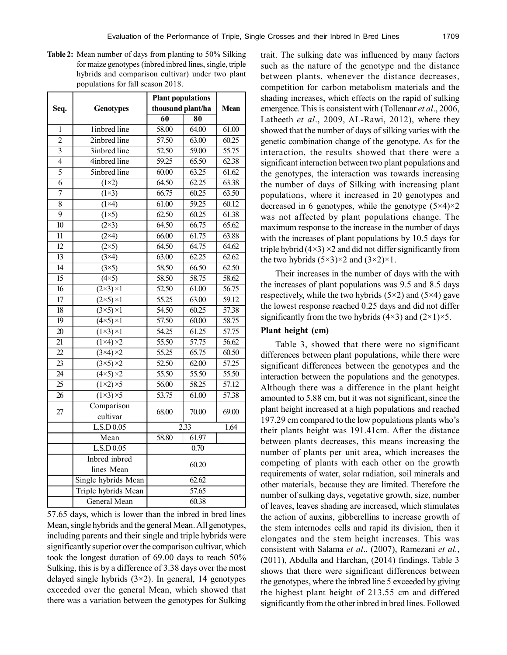**Table 2:** Mean number of days from planting to 50% Silking for maize genotypes (inbred inbred lines, single, triple hybrids and comparison cultivar) under two plant populations for fall season 2018.

|                 |                                | <b>Plant populations</b> |                     | Mean                  |
|-----------------|--------------------------------|--------------------------|---------------------|-----------------------|
| Seq.            | <b>Genotypes</b>               | thousand plant/ha        |                     |                       |
|                 |                                | $\overline{60}$          | $\overline{\bf 80}$ |                       |
| 1               | linbred line                   | 58.00                    | 64.00               | 61.00                 |
| $\overline{2}$  | 2inbred line                   | $\overline{57.50}$       | 63.00               | 60.25                 |
| 3               | 3inbred line                   | $\overline{52.50}$       | 59.00               | $\overline{55.75}$    |
| $\overline{4}$  | 4inbred line                   | 59.25                    | 65.50               | 62.38                 |
| $\overline{5}$  | 5inbred line                   | 60.00                    | 63.25               | 61.62                 |
| 6               | $(1\times2)$                   | 64.50                    | 62.25               | 63.38                 |
| $\overline{7}$  | $\overline{(1\times3)}$        | 66.75                    | 60.25               | 63.50                 |
| $\overline{8}$  | $(1\times4)$                   | $\overline{61.00}$       | $\overline{59.25}$  | 60.12                 |
| $\overline{9}$  | $(1\times 5)$                  | 62.50                    | 60.25               | 61.38                 |
| $\overline{10}$ | $\overline{(2\times3)}$        | 64.50                    | 66.75               | 65.62                 |
| 11              | $(2\times4)$                   | 66.00                    | 61.75               | 63.88                 |
| $\overline{12}$ | $(2\times5)$                   | 64.50                    | 64.75               | 64.62                 |
| 13              | $(3\times4)$                   | 63.00                    | 62.25               | 62.62                 |
| $\overline{14}$ | $(3\times5)$                   | 58.50                    | $66.\overline{50}$  | 62.50                 |
| 15              | $(4\times5)$                   | 58.50                    | 58.75               | 58.62                 |
| 16              | $(2\times3)\times1$            | 52.50                    | 61.00               | 56.75                 |
| 17              | $(2\times5)\times1$            | 55.25                    | 63.00               | 59.12                 |
| 18              | $\overline{(3\times5)\times1}$ | $\overline{54.50}$       | 60.25               | 57.38                 |
| $\overline{19}$ | $\overline{(4\times5)\times1}$ | 57.50                    | 60.00               | 58.75                 |
| $\overline{20}$ | $\overline{(1\times3)\times1}$ | 54.25                    | 61.25               | 57.75                 |
| $\overline{21}$ | $\overline{(1\times4)\times2}$ | $\overline{55.50}$       | 57.75               | $\frac{56.62}{56.62}$ |
| $\overline{22}$ | $\overline{(3\times4)\times2}$ | $\overline{55.25}$       | 65.75               | 60.50                 |
| $\overline{23}$ | $\overline{(3\times5)\times2}$ | 52.50                    | 62.00               | 57.25                 |
| 24              | $\overline{(4\times5)\times2}$ | 55.50                    | 55.50               | 55.50                 |
| $\overline{25}$ | $\overline{(1\times2)\times5}$ | $\frac{56.00}{56.00}$    | $\overline{58.25}$  | $\overline{57.12}$    |
| $\overline{26}$ | $(1\times3)\times5$            | $\overline{53.75}$       | 61.00               | 57.38                 |
| 27              | Comparison                     | 68.00                    | 70.00               | 69.00                 |
|                 | cultivar                       |                          |                     |                       |
|                 | L.S.D 0.05                     | $\overline{2.33}$        |                     | 1.64                  |
|                 | Mean                           | 58.80                    | 61.97               |                       |
|                 | L.S.D 0.05                     | 0.70                     |                     |                       |
|                 | Inbred inbred                  | 60.20                    |                     |                       |
|                 | lines Mean                     |                          |                     |                       |
|                 | Single hybrids Mean            |                          | 62.62               |                       |
|                 | Triple hybrids Mean            | 57.65                    |                     |                       |
|                 | General Mean                   | 60.38                    |                     |                       |

57.65 days, which is lower than the inbred in bred lines Mean, single hybrids and the general Mean. All genotypes, including parents and their single and triple hybrids were significantly superior over the comparison cultivar, which took the longest duration of 69.00 days to reach 50% Sulking, this is by a difference of 3.38 days over the most delayed single hybrids  $(3\times2)$ . In general, 14 genotypes exceeded over the general Mean, which showed that there was a variation between the genotypes for Sulking trait. The sulking date was influenced by many factors such as the nature of the genotype and the distance between plants, whenever the distance decreases, competition for carbon metabolism materials and the shading increases, which effects on the rapid of sulking emergence. This is consistent with (Tollenaar *et al*., 2006, Latheeth *et al*., 2009, AL-Rawi, 2012), where they showed that the number of days of silking varies with the genetic combination change of the genotype. As for the interaction, the results showed that there were a significant interaction between two plant populations and the genotypes, the interaction was towards increasing the number of days of Silking with increasing plant populations, where it increased in 20 genotypes and decreased in 6 genotypes, while the genotype  $(5\times4)\times2$ was not affected by plant populations change. The maximum response to the increase in the number of days with the increases of plant populations by 10.5 days for triple hybrid  $(4\times3) \times2$  and did not differ significantly from the two hybrids  $(5\times3)\times2$  and  $(3\times2)\times1$ .

Their increases in the number of days with the with the increases of plant populations was 9.5 and 8.5 days respectively, while the two hybrids  $(5\times2)$  and  $(5\times4)$  gave the lowest response reached 0.25 days and did not differ significantly from the two hybrids  $(4\times3)$  and  $(2\times1)\times5$ .

## **Plant height (cm)**

Table 3, showed that there were no significant differences between plant populations, while there were significant differences between the genotypes and the interaction between the populations and the genotypes. Although there was a difference in the plant height amounted to 5.88 cm, but it was not significant, since the plant height increased at a high populations and reached 197.29 cm compared to the low populations plants who's their plants height was 191.41cm. After the distance between plants decreases, this means increasing the number of plants per unit area, which increases the competing of plants with each other on the growth requirements of water, solar radiation, soil minerals and other materials, because they are limited. Therefore the number of sulking days, vegetative growth, size, number of leaves, leaves shading are increased, which stimulates the action of auxins, gibberellins to increase growth of the stem internodes cells and rapid its division, then it elongates and the stem height increases. This was consistent with Salama *et al*., (2007), Ramezani *et al.*, (2011), Abdulla and Harchan, (2014) findings. Table 3 shows that there were significant differences between the genotypes, where the inbred line 5 exceeded by giving the highest plant height of 213.55 cm and differed significantly from the other inbred in bred lines. Followed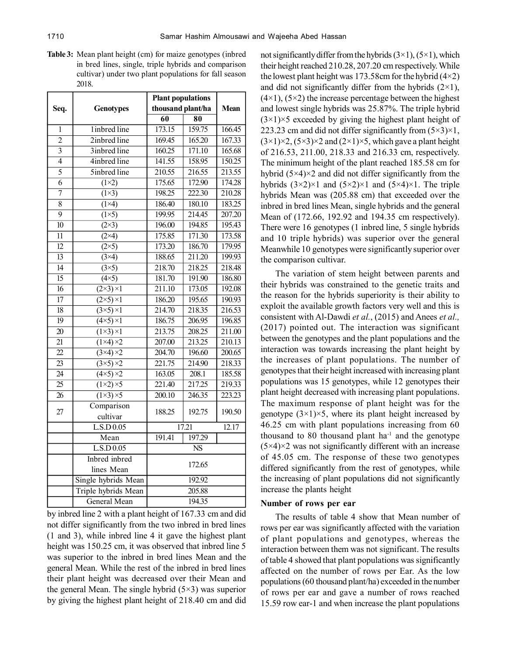**Table 3:** Mean plant height (cm) for maize genotypes (inbred in bred lines, single, triple hybrids and comparison cultivar) under two plant populations for fall season 2018.

|                 |                                | <b>Plant populations</b> |                     |                    |
|-----------------|--------------------------------|--------------------------|---------------------|--------------------|
| Seq.            | <b>Genotypes</b>               | thousand plant/ha        |                     | Mean               |
|                 |                                | $\overline{60}$          | $\overline{\bf 80}$ |                    |
| 1               | linbred line                   | 173.15                   | 159.75              | 166.45             |
| $\overline{2}$  | 2inbred line                   | 169.45                   | 165.20              | 167.33             |
| $\overline{3}$  | 3inbred line                   | 160.25                   | 171.10              | 165.68             |
| $\overline{4}$  | 4inbred line                   | 141.55                   | 158.95              | 150.25             |
| 5               | 5inbred line                   | 210.55                   | 216.55              | 213.55             |
| $\overline{6}$  | $(1\times 2)$                  | 175.65                   | 172.90              | 174.28             |
| $\overline{7}$  | $(1\times3)$                   | 198.25                   | 222.30              | 210.28             |
| $\overline{8}$  | $(1\times4)$                   | 186.40                   | 180.10              | 183.25             |
| $\overline{9}$  | $(1\times 5)$                  | 199.95                   | 214.45              | 207.20             |
| $\overline{10}$ | $\overline{(2\times3)}$        | 196.00                   | 194.85              | 195.43             |
| $\overline{11}$ | $(2\times4)$                   | 175.85                   | 171.30              | 173.58             |
| 12              | $(2\times5)$                   | 173.20                   | 186.70              | 179.95             |
| $\overline{13}$ | $(3\times4)$                   | 188.65                   | 211.20              | 199.93             |
| $\overline{14}$ | $(3\times5)$                   | 218.70                   | 218.25              | 218.48             |
| $\overline{15}$ | $(4\times5)$                   | 181.70                   | 191.90              | 186.80             |
| 16              | $(2\times3)\times1$            | 211.10                   | 173.05              | 192.08             |
| $\overline{17}$ | $\overline{(2\times5)\times1}$ | 186.20                   | 195.65              | 190.93             |
| 18              | $\overline{(3\times5)\times1}$ | 214.70                   | 218.35              | $\frac{216.53}{ }$ |
| $\overline{19}$ | $\overline{(4\times5)\times1}$ | 186.75                   | 206.95              | 196.85             |
| 20              | $\overline{(1\times3)\times1}$ | 213.75                   | 208.25              | 211.00             |
| $\overline{21}$ | $\overline{(1\times4)\times2}$ | 207.00                   | 213.25              | 210.13             |
| $\overline{22}$ | $\overline{(3\times4)\times2}$ | 204.70                   | 196.60              | 200.65             |
| $\overline{23}$ | $\overline{(3\times5)\times2}$ | 221.75                   | 214.90              | 218.33             |
| $\overline{24}$ | $\overline{(4\times5)\times2}$ | 163.05                   | $\overline{208.1}$  | 185.58             |
| $\overline{25}$ | $\overline{(1\times2)\times5}$ | 221.40                   | 217.25              | 219.33             |
| $\overline{26}$ | $(1\times3)\times5$            | $\overline{200.10}$      | 246.35              | 223.23             |
| 27              | Comparison                     | 188.25                   |                     |                    |
|                 | cultivar                       |                          | 192.75              | 190.50             |
|                 | L.S.D 0.05                     | 17.21                    |                     | 12.17              |
|                 | Mean                           | 191.41                   | 197.29              |                    |
|                 | L.S.D 0.05                     | $\overline{\text{NS}}$   |                     |                    |
|                 | Inbred inbred                  |                          |                     |                    |
|                 | lines Mean                     | 172.65                   |                     |                    |
|                 | Single hybrids Mean            |                          | 192.92              |                    |
|                 | Triple hybrids Mean            |                          | 205.88              |                    |
|                 | General Mean                   | 194.35                   |                     |                    |

by inbred line 2 with a plant height of 167.33 cm and did not differ significantly from the two inbred in bred lines (1 and 3), while inbred line 4 it gave the highest plant height was 150.25 cm, it was observed that inbred line 5 was superior to the inbred in bred lines Mean and the general Mean. While the rest of the inbred in bred lines their plant height was decreased over their Mean and the general Mean. The single hybrid  $(5\times3)$  was superior by giving the highest plant height of 218.40 cm and did

not significantly differ from the hybrids  $(3\times1)$ ,  $(5\times1)$ , which their height reached 210.28, 207.20 cm respectively. While the lowest plant height was 173.58cm for the hybrid  $(4\times2)$ and did not significantly differ from the hybrids  $(2\times1)$ ,  $(4\times1)$ ,  $(5\times2)$  the increase percentage between the highest and lowest single hybrids was 25.87%. The triple hybrid  $(3\times1)\times5$  exceeded by giving the highest plant height of 223.23 cm and did not differ significantly from  $(5\times3)\times1$ ,  $(3\times1)\times2$ ,  $(5\times3)\times2$  and  $(2\times1)\times5$ , which gave a plant height of 216.53, 211.00, 218.33 and 216.33 cm, respectively. The minimum height of the plant reached 185.58 cm for hybrid  $(5\times4)\times2$  and did not differ significantly from the hybrids  $(3\times2)\times1$  and  $(5\times2)\times1$  and  $(5\times4)\times1$ . The triple hybrids Mean was (205.88 cm) that exceeded over the inbred in bred lines Mean, single hybrids and the general Mean of (172.66, 192.92 and 194.35 cm respectively). There were 16 genotypes (1 inbred line, 5 single hybrids and 10 triple hybrids) was superior over the general Meanwhile 10 genotypes were significantly superior over the comparison cultivar.

The variation of stem height between parents and their hybrids was constrained to the genetic traits and the reason for the hybrids superiority is their ability to exploit the available growth factors very well and this is consistent with Al-Dawdi *et al.*, (2015) and Anees *et al.,* (2017) pointed out. The interaction was significant between the genotypes and the plant populations and the interaction was towards increasing the plant height by the increases of plant populations. The number of genotypes that their height increased with increasing plant populations was 15 genotypes, while 12 genotypes their plant height decreased with increasing plant populations. The maximum response of plant height was for the genotype  $(3\times1)\times5$ , where its plant height increased by 46.25 cm with plant populations increasing from 60 thousand to 80 thousand plant  $ha^{-1}$  and the genotype  $(5\times4)\times2$  was not significantly different with an increase of 45.05 cm. The response of these two genotypes differed significantly from the rest of genotypes, while the increasing of plant populations did not significantly increase the plants height

### **Number of rows per ear**

The results of table 4 show that Mean number of rows per ear was significantly affected with the variation of plant populations and genotypes, whereas the interaction between them was not significant. The results of table 4 showed that plant populations was significantly affected on the number of rows per Ear. As the low populations (60 thousand plant/ha) exceeded in the number of rows per ear and gave a number of rows reached 15.59 row ear-1 and when increase the plant populations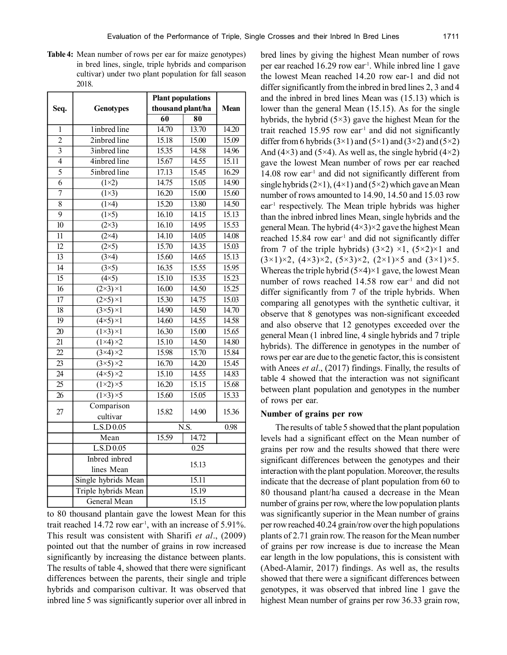**Table 4:** Mean number of rows per ear for maize genotypes) in bred lines, single, triple hybrids and comparison cultivar) under two plant population for fall season 2018.

|                 |                                | <b>Plant populations</b> |                    |       |
|-----------------|--------------------------------|--------------------------|--------------------|-------|
| Seq.            | <b>Genotypes</b>               | thousand plant/ha        |                    | Mean  |
|                 |                                | $\overline{60}$          | 80                 |       |
| 1               | linbred line                   | 14.70                    | 13.70              | 14.20 |
| $\overline{2}$  | 2inbred line                   | 15.18                    | 15.00              | 15.09 |
| $\overline{3}$  | 3inbred line                   | 15.35                    | 14.58              | 14.96 |
| $\overline{4}$  | 4inbred line                   | 15.67                    | 14.55              | 15.11 |
| $\overline{5}$  | 5inbred line                   | 17.13                    | 15.45              | 16.29 |
| $\overline{6}$  | $(1\times 2)$                  | 14.75                    | 15.05              | 14.90 |
| $\overline{7}$  | $\overline{(1\times3)}$        | 16.20                    | 15.00              | 15.60 |
| $\overline{8}$  | $(1\times4)$                   | 15.20                    | 13.80              | 14.50 |
| $\overline{9}$  | $\overline{(1\times 5)}$       | 16.10                    | 14.15              | 15.13 |
| $\overline{10}$ | $\overline{(2\times3)}$        | 16.10                    | $\overline{14.95}$ | 15.53 |
| $\overline{11}$ | $\overline{2\times 4}$         | 14.10                    | 14.05              | 14.08 |
| $\overline{12}$ | $(2\times5)$                   | 15.70                    | 14.35              | 15.03 |
| $\overline{13}$ | $(3\times4)$                   | 15.60                    | 14.65              | 15.13 |
| $\overline{14}$ | $(3\times5)$                   | 16.35                    | 15.55              | 15.95 |
| $\overline{15}$ | $\overline{(4\times5)}$        | 15.10                    | 15.35              | 15.23 |
| 16              | $(2\times3)\times1$            | 16.00                    | 14.50              | 15.25 |
| $\overline{17}$ | $\overline{(2\times5)\times1}$ | 15.30                    | 14.75              | 15.03 |
| $\overline{18}$ | $\overline{(3\times5)\times1}$ | 14.90                    | 14.50              | 14.70 |
| $\overline{19}$ | $\overline{(4\times5)\times1}$ | 14.60                    | 14.55              | 14.58 |
| $\overline{20}$ | $\overline{(1\times3)\times1}$ | 16.30                    | 15.00              | 15.65 |
| $\overline{21}$ | $\overline{(1\times4)\times2}$ | 15.10                    | 14.50              | 14.80 |
| $\overline{22}$ | $\overline{(3\times4)\times2}$ | 15.98                    | 15.70              | 15.84 |
| 23              | $\overline{(3\times5)\times2}$ | 16.70                    | 14.20              | 15.45 |
| $\overline{24}$ | $\overline{(4\times5)\times2}$ | 15.10                    | 14.55              | 14.83 |
| $\overline{25}$ | $\overline{(1\times2)\times5}$ | 16.20                    | 15.15              | 15.68 |
| $\overline{26}$ | $\overline{(1\times3)\times5}$ | 15.60                    | 15.05              | 15.33 |
| 27              | Comparison<br>cultivar         | 15.82                    | 14.90              | 15.36 |
|                 | L.S.D 0.05                     | $\overline{\text{N.S.}}$ |                    | 0.98  |
|                 | Mean                           | 15.59                    | 14.72              |       |
|                 | L.S.D 0.05                     |                          | 0.25               |       |
|                 | Inbred inbred                  |                          |                    |       |
|                 | lines Mean                     | 15.13                    |                    |       |
|                 | Single hybrids Mean            | 15.11                    |                    |       |
|                 | Triple hybrids Mean            |                          | 15.19              |       |
|                 | General Mean                   | 15.15                    |                    |       |

to 80 thousand plantain gave the lowest Mean for this trait reached  $14.72$  row ear<sup>-1</sup>, with an increase of  $5.91\%$ . This result was consistent with Sharifi *et al*., (2009) pointed out that the number of grains in row increased significantly by increasing the distance between plants. The results of table 4, showed that there were significant differences between the parents, their single and triple hybrids and comparison cultivar. It was observed that inbred line 5 was significantly superior over all inbred in bred lines by giving the highest Mean number of rows per ear reached 16.29 row ear-1. While inbred line 1 gave the lowest Mean reached 14.20 row ear-1 and did not differ significantly from the inbred in bred lines 2, 3 and 4 and the inbred in bred lines Mean was (15.13) which is lower than the general Mean (15.15). As for the single hybrids, the hybrid  $(5\times3)$  gave the highest Mean for the trait reached 15.95 row ear<sup>-1</sup> and did not significantly differ from 6 hybrids  $(3\times1)$  and  $(5\times1)$  and  $(3\times2)$  and  $(5\times2)$ And (4×3) and (5×4). As well as, the single hybrid (4×2) gave the lowest Mean number of rows per ear reached 14.08 row ear<sup>-1</sup> and did not significantly different from single hybrids  $(2\times1)$ ,  $(4\times1)$  and  $(5\times2)$  which gave an Mean number of rows amounted to 14.90, 14.50 and 15.03 row ear-1 respectively. The Mean triple hybrids was higher than the inbred inbred lines Mean, single hybrids and the general Mean. The hybrid  $(4\times3)\times2$  gave the highest Mean reached 15.84 row ear<sup>1</sup> and did not significantly differ from 7 of the triple hybrids)  $(3\times2) \times1$ ,  $(5\times2)\times1$  and  $(3\times1)\times2$ ,  $(4\times3)\times2$ ,  $(5\times3)\times2$ ,  $(2\times1)\times5$  and  $(3\times1)\times5$ . Whereas the triple hybrid  $(5\times4)\times1$  gave, the lowest Mean number of rows reached 14.58 row ear<sup>1</sup> and did not differ significantly from 7 of the triple hybrids. When comparing all genotypes with the synthetic cultivar, it observe that 8 genotypes was non-significant exceeded and also observe that 12 genotypes exceeded over the general Mean (1 inbred line, 4 single hybrids and 7 triple hybrids). The difference in genotypes in the number of rows per ear are due to the genetic factor, this is consistent with Anees *et al*., (2017) findings. Finally, the results of table 4 showed that the interaction was not significant between plant population and genotypes in the number of rows per ear.

### **Number of grains per row**

The results of table 5 showed that the plant population levels had a significant effect on the Mean number of grains per row and the results showed that there were significant differences between the genotypes and their interaction with the plant population. Moreover, the results indicate that the decrease of plant population from 60 to 80 thousand plant/ha caused a decrease in the Mean number of grains per row, where the low population plants was significantly superior in the Mean number of grains per row reached 40.24 grain/row over the high populations plants of 2.71 grain row. The reason for the Mean number of grains per row increase is due to increase the Mean ear length in the low populations, this is consistent with (Abed-Alamir, 2017) findings. As well as, the results showed that there were a significant differences between genotypes, it was observed that inbred line 1 gave the highest Mean number of grains per row 36.33 grain row,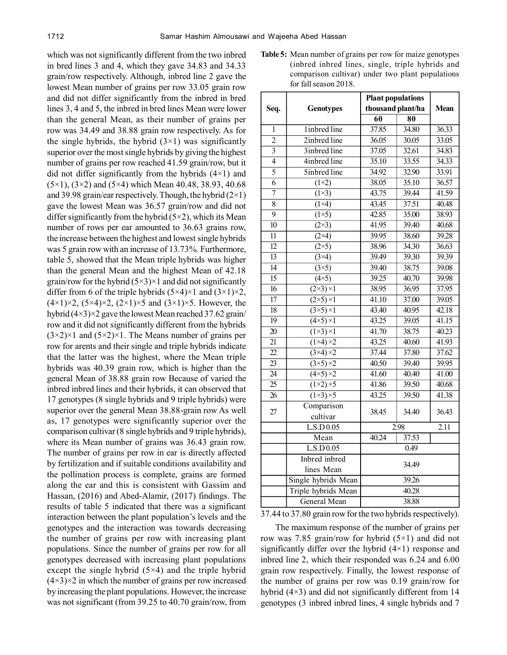which was not significantly different from the two inbred in bred lines 3 and 4, which they gave 34.83 and 34.33 grain/row respectively. Although, inbred line 2 gave the lowest Mean number of grains per row 33.05 grain row and did not differ significantly from the inbred in bred lines 3, 4 and 5, the inbred in bred lines Mean were lower than the general Mean, as their number of grains per row was 34.49 and 38.88 grain row respectively. As for the single hybrids, the hybrid  $(3\times1)$  was significantly superior over the most single hybrids by giving the highest number of grains per row reached 41.59 grain/row, but it did not differ significantly from the hybrids  $(4\times1)$  and  $(5\times1)$ ,  $(3\times2)$  and  $(5\times4)$  which Mean 40.48, 38.93, 40.68 and 39.98 grain/ear respectively. Though, the hybrid  $(2\times1)$ gave the lowest Mean was 36.57 grain/row and did not differ significantly from the hybrid  $(5\times2)$ , which its Mean number of rows per ear amounted to 36.63 grains row, the increase between the highest and lowest single hybrids was 5 grain row with an increase of 13.73%. Furthermore, table 5, showed that the Mean triple hybrids was higher than the general Mean and the highest Mean of 42.18 grain/row for the hybrid  $(5\times3)\times1$  and did not significantly differ from 6 of the triple hybrids  $(5\times4)\times1$  and  $(3\times1)\times2$ ,  $(4 \times 1) \times 2$ ,  $(5 \times 4) \times 2$ ,  $(2 \times 1) \times 5$  and  $(3 \times 1) \times 5$ . However, the hybrid (4×3)×2 gave the lowest Mean reached 37.62 grain/ row and it did not significantly different from the hybrids  $(3\times2)\times1$  and  $(5\times2)\times1$ . The Means number of grains per row for arents and their single and triple hybrids indicate that the latter was the highest, where the Mean triple hybrids was 40.39 grain row, which is higher than the general Mean of 38.88 grain row Because of varied the inbred inbred lines and their hybrids, it can observed that 17 genotypes (8 single hybrids and 9 triple hybrids) were superior over the general Mean 38.88-grain row As well as, 17 genotypes were significantly superior over the comparison cultivar (8 single hybrids and 9 triple hybrids), where its Mean number of grains was 36.43 grain row. The number of grains per row in ear is directly affected by fertilization and if suitable conditions availability and the pollination process is complete, grains are formed along the ear and this is consistent with Gassim and Hassan, (2016) and Abed-Alamir, (2017) findings. The results of table 5 indicated that there was a significant interaction between the plant population's levels and the genotypes and the interaction was towards decreasing the number of grains per row with increasing plant populations. Since the number of grains per row for all genotypes decreased with increasing plant populations except the single hybrid  $(5\times4)$  and the triple hybrid  $(4\times3)\times2$  in which the number of grains per row increased by increasing the plant populations. However, the increase was not significant (from 39.25 to 40.70 grain/row, from **Table 5:** Mean number of grains per row for maize genotypes (inbred inbred lines, single, triple hybrids and comparison cultivar) under two plant populations for fall season 2018.

|                 |                                | <b>Plant populations</b> |                     |                   |
|-----------------|--------------------------------|--------------------------|---------------------|-------------------|
| Seq.            | <b>Genotypes</b>               | thousand plant/ha        |                     | Mean              |
|                 |                                | 60                       | $\overline{\bf 80}$ |                   |
| 1               | 1inbred line                   | 37.85                    | 34.80               | 36.33             |
| $\overline{2}$  | 2inbred line                   | 36.05                    | 30.05               | 33.05             |
| $\overline{3}$  | 3inbred line                   | 37.05                    | 32.61               | 34.83             |
| $\overline{4}$  | 4inbred line                   | 35.10                    | 33.55               | 34.33             |
| $\overline{5}$  | 5inbred line                   | 34.92                    | 32.90               | 33.91             |
| $\overline{6}$  | $(1\times 2)$                  | 38.05                    | 35.10               | 36.57             |
| $\overline{7}$  | $\overline{(1\times3)}$        | 43.75                    | 39.44               | 41.59             |
| $\overline{8}$  | $(1\times4)$                   | 43.45                    | 37.51               | 40.48             |
| $\overline{9}$  | $(1\times5)$                   | 42.85                    | 35.00               | 38.93             |
| $\overline{10}$ | $(2\times3)$                   | 41.95                    | 39.40               | 40.68             |
| $\overline{11}$ | $(2\times4)$                   | 39.95                    | 38.60               | 39.28             |
| $\overline{12}$ | $(2\times5)$                   | 38.96                    | 34.30               | 36.63             |
| $\overline{13}$ | $\overline{(3\times4)}$        | 39.49                    | 39.30               | 39.39             |
| $\overline{14}$ | $\overline{(3\times5)}$        | 39.40                    | 38.75               | 39.08             |
| $\overline{15}$ | $(4\times5)$                   | 39.25                    | 40.70               | 39.98             |
| 16              | $\overline{(2\times3)\times1}$ | 38.95                    | 36.95               | 37.95             |
| 17              | $\overline{(2\times5)\times1}$ | 41.10                    | 37.00               | 39.05             |
| 18              | $(3\times5)\times1$            | 43.40                    | 40.95               | 42.18             |
| $\overline{19}$ | $\overline{(4\times5)\times1}$ | 43.25                    | 39.05               | 41.15             |
| 20              | $(1\times3)\times1$            | 41.70                    | 38.75               | 40.23             |
| $\overline{21}$ | $\sqrt{1\times4}\times2$       | 43.25                    | 40.60               | 41.93             |
| $\overline{22}$ | $\overline{(3\times4)\times2}$ | 37.44                    | 37.80               | 37.62             |
| 23              | $(3\times5)\times2$            | 40.50                    | 39.40               | 39.95             |
| $\overline{24}$ | $(4\times5)\times2$            | 41.60                    | 40.40               | 41.00             |
| $\overline{25}$ | $\overline{(1\times2)\times5}$ | 41.86                    | 39.50               | 40.68             |
| $\overline{26}$ | $\overline{(1\times3)\times5}$ | 43.25                    | 39.50               | 41.38             |
| 27              | Comparison                     | 38.45                    |                     |                   |
|                 | cultivar                       |                          | 34.40               | 36.43             |
|                 | L.S.D 0.05                     | $\overline{2.98}$        |                     | $\overline{2.1}1$ |
|                 | Mean                           | 40.24                    | 37.53               |                   |
|                 | L.S.D 0.05                     | 0.49                     |                     |                   |
|                 | Inbred inbred                  |                          |                     |                   |
|                 | lines Mean                     | 34.49                    |                     |                   |
|                 | Single hybrids Mean            | 39.26                    |                     |                   |
|                 | Triple hybrids Mean            | 40.28                    |                     |                   |
|                 | <b>General Mean</b>            | 38.88                    |                     |                   |

37.44 to 37.80 grain row for the two hybrids respectively).

The maximum response of the number of grains per row was 7.85 grain/row for hybrid  $(5\times1)$  and did not significantly differ over the hybrid (4×1) response and inbred line 2, which their responded was 6.24 and 6.00 grain row respectively. Finally, the lowest response of the number of grains per row was 0.19 grain/row for hybrid (4×3) and did not significantly different from 14 genotypes (3 inbred inbred lines, 4 single hybrids and 7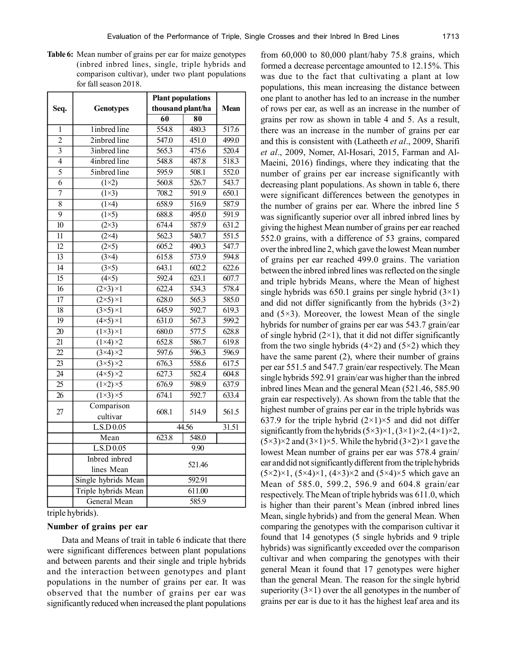**Table 6:** Mean number of grains per ear for maize genotypes (inbred inbred lines, single, triple hybrids and comparison cultivar), under two plant populations for fall season 2018.

|                 |                                | <b>Plant populations</b> |                     |             |
|-----------------|--------------------------------|--------------------------|---------------------|-------------|
| Seq.            | <b>Genotypes</b>               | thousand plant/ha        |                     | <b>Mean</b> |
|                 |                                | 60                       | $\overline{\bf 80}$ |             |
| 1               | linbred line                   | 554.8                    | 480.3               | 517.6       |
| $\overline{2}$  | 2inbred line                   | 547.0                    | 451.0               | 499.0       |
| $\overline{3}$  | 3inbred line                   | 565.3                    | 475.6               | 520.4       |
| $\overline{4}$  | 4inbred line                   | 548.8                    | 487.8               | 518.3       |
| $\overline{5}$  | 5inbred line                   | 595.9                    | 508.1               | 552.0       |
| $\overline{6}$  | $(1\times2)$                   | $\frac{560.8}{ }$        | $\overline{526.7}$  | 543.7       |
| $\overline{7}$  | $\overline{(1\times3)}$        | 708.2                    | $\overline{591.9}$  | 650.1       |
| $\overline{8}$  | $(1\times4)$                   | 658.9                    | 516.9               | 587.9       |
| $\overline{9}$  | $(1\times 5)$                  | 688.8                    | 495.0               | 591.9       |
| $\overline{10}$ | $\overline{(2\times3)}$        | 674.4                    | 587.9               | 631.2       |
| $\overline{11}$ | $(2\times4)$                   | 562.3                    | 540.7               | 551.5       |
| $\overline{12}$ | $(2\times5)$                   | 605.2                    | 490.3               | 547.7       |
| $\overline{13}$ | $\overline{3}$ $\times$ 4)     | 615.8                    | 573.9               | 594.8       |
| $\overline{14}$ | $(3\times5)$                   | 643.1                    | 602.2               | 622.6       |
| $\overline{15}$ | $(4\times5)$                   | 592.4                    | 623.1               | 607.7       |
| $\overline{16}$ | $(2\times3)\times1$            | 622.4                    | 534.3               | 578.4       |
| $\overline{17}$ | $\overline{(2\times5)\times1}$ | 628.0                    | $\overline{565.3}$  | 585.0       |
| $\overline{18}$ | $\overline{(3\times5)\times1}$ | 645.9                    | 592.7               | 619.3       |
| $\overline{19}$ | $\overline{(4\times5)\times1}$ | 631.0                    | 567.3               | 599.2       |
| $\overline{20}$ | $\overline{(1\times3)\times1}$ | 680.0                    | 577.5               | 628.8       |
| $\overline{21}$ | $\overline{(1\times4)\times2}$ | 652.8                    | 586.7               | 619.8       |
| $\overline{22}$ | $\overline{(3\times4)\times2}$ | $\overline{597.6}$       | 596.3               | 596.9       |
| $\overline{23}$ | $\overline{(3\times5)\times2}$ | 676.3                    | 558.6               | 617.5       |
| $\overline{24}$ | $(4\times5)\times2$            | 627.3                    | 582.4               | 604.8       |
| $\overline{25}$ | $\overline{(1\times2)\times5}$ | $\overline{676.9}$       | $\frac{1}{598.9}$   | 637.9       |
| 26              | $\overline{(1\times3)\times5}$ | 674.1                    | $\overline{592.7}$  | 633.4       |
| 27              | Comparison                     | 608.1                    | 514.9               | 561.5       |
|                 | cultivar                       |                          |                     |             |
|                 | L.S.D 0.05                     | 44.56                    |                     | 31.51       |
|                 | Mean                           | 548.0<br>623.8           |                     |             |
|                 | L.S.D 0.05                     | 9.90                     |                     |             |
|                 | Inbred inbred                  | 521.46                   |                     |             |
|                 | lines Mean                     |                          |                     |             |
|                 | Single hybrids Mean            | 592.91                   |                     |             |
|                 | Triple hybrids Mean            | 611.00                   |                     |             |
|                 | <b>General Mean</b>            | 585.9                    |                     |             |

triple hybrids).

## **Number of grains per ear**

Data and Means of trait in table 6 indicate that there were significant differences between plant populations and between parents and their single and triple hybrids and the interaction between genotypes and plant populations in the number of grains per ear. It was observed that the number of grains per ear was significantly reduced when increased the plant populations from 60,000 to 80,000 plant/haby 75.8 grains, which formed a decrease percentage amounted to 12.15%. This was due to the fact that cultivating a plant at low populations, this mean increasing the distance between one plant to another has led to an increase in the number of rows per ear, as well as an increase in the number of grains per row as shown in table 4 and 5. As a result, there was an increase in the number of grains per ear and this is consistent with (Latheeth *et al*., 2009, Sharifi *et al*., 2009, Nomer, Al-Hosari, 2015, Farman and Al-Maeini, 2016) findings, where they indicating that the number of grains per ear increase significantly with decreasing plant populations. As shown in table 6, there were significant differences between the genotypes in the number of grains per ear. Where the inbred line 5 was significantly superior over all inbred inbred lines by giving the highest Mean number of grains per ear reached 552.0 grains, with a difference of 53 grains, compared over the inbred line 2, which gave the lowest Mean number of grains per ear reached 499.0 grains. The variation between the inbred inbred lines was reflected on the single and triple hybrids Means, where the Mean of highest single hybrids was 650.1 grains per single hybrid  $(3\times1)$ and did not differ significantly from the hybrids  $(3\times2)$ and  $(5\times3)$ . Moreover, the lowest Mean of the single hybrids for number of grains per ear was 543.7 grain/ear of single hybrid  $(2\times1)$ , that it did not differ significantly from the two single hybrids  $(4\times2)$  and  $(5\times2)$  which they have the same parent (2), where their number of grains per ear 551.5 and 547.7 grain/ear respectively. The Mean single hybrids 592.91 grain/ear was higher than the inbred inbred lines Mean and the general Mean (521.46, 585.90 grain ear respectively). As shown from the table that the highest number of grains per ear in the triple hybrids was 637.9 for the triple hybrid  $(2\times1)\times5$  and did not differ significantly from the hybrids  $(5\times3)\times1$ ,  $(3\times1)\times2$ ,  $(4\times1)\times2$ ,  $(5\times3)\times2$  and  $(3\times1)\times5$ . While the hybrid  $(3\times2)\times1$  gave the lowest Mean number of grains per ear was 578.4 grain/ ear and did not significantly different from the triple hybrids  $(5\times2)\times1$ ,  $(5\times4)\times1$ ,  $(4\times3)\times2$  and  $(5\times4)\times5$  which gave an Mean of 585.0, 599.2, 596.9 and 604.8 grain/ear respectively. The Mean of triple hybrids was 611.0, which is higher than their parent's Mean (inbred inbred lines Mean, single hybrids) and from the general Mean. When comparing the genotypes with the comparison cultivar it found that 14 genotypes (5 single hybrids and 9 triple hybrids) was significantly exceeded over the comparison cultivar and when comparing the genotypes with their general Mean it found that 17 genotypes were higher than the general Mean. The reason for the single hybrid superiority  $(3\times1)$  over the all genotypes in the number of grains per ear is due to it has the highest leaf area and its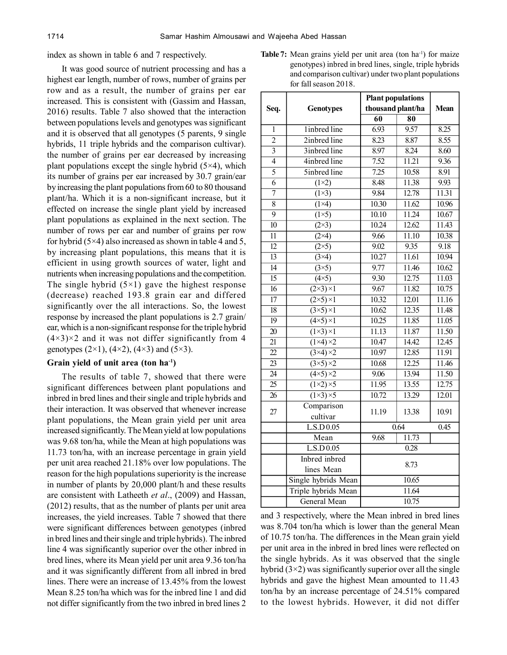index as shown in table 6 and 7 respectively.

It was good source of nutrient processing and has a highest ear length, number of rows, number of grains per row and as a result, the number of grains per ear increased. This is consistent with (Gassim and Hassan, 2016) results. Table 7 also showed that the interaction between populations levels and genotypes was significant and it is observed that all genotypes (5 parents, 9 single hybrids, 11 triple hybrids and the comparison cultivar). the number of grains per ear decreased by increasing plant populations except the single hybrid  $(5\times4)$ , which its number of grains per ear increased by 30.7 grain/ear by increasing the plant populations from 60 to 80 thousand plant/ha. Which it is a non-significant increase, but it effected on increase the single plant yield by increased plant populations as explained in the next section. The number of rows per ear and number of grains per row for hybrid  $(5\times4)$  also increased as shown in table 4 and 5, by increasing plant populations, this means that it is efficient in using growth sources of water, light and nutrients when increasing populations and the competition. The single hybrid  $(5\times1)$  gave the highest response (decrease) reached 193.8 grain ear and differed significantly over the all interactions. So, the lowest response by increased the plant populations is 2.7 grain/ ear, which is a non-significant response for the triple hybrid  $(4\times3)\times2$  and it was not differ significantly from 4 genotypes (2×1), (4×2), (4×3) and (5×3).

### **Grain yield of unit area (ton ha-1)**

The results of table 7, showed that there were significant differences between plant populations and inbred in bred lines and their single and triple hybrids and their interaction. It was observed that whenever increase plant populations, the Mean grain yield per unit area increased significantly. The Mean yield at low populations was 9.68 ton/ha, while the Mean at high populations was 11.73 ton/ha, with an increase percentage in grain yield per unit area reached 21.18% over low populations. The reason for the high populations superiority is the increase in number of plants by 20,000 plant/h and these results are consistent with Latheeth *et al*., (2009) and Hassan, (2012) results, that as the number of plants per unit area increases, the yield increases. Table 7 showed that there were significant differences between genotypes (inbred in bred lines and their single and triple hybrids). The inbred line 4 was significantly superior over the other inbred in bred lines, where its Mean yield per unit area 9.36 ton/ha and it was significantly different from all inbred in bred lines. There were an increase of 13.45% from the lowest Mean 8.25 ton/ha which was for the inbred line 1 and did not differ significantly from the two inbred in bred lines 2

**Table 7:** Mean grains yield per unit area (ton ha<sup>-1</sup>) for maize genotypes) inbred in bred lines, single, triple hybrids and comparison cultivar) under two plant populations for fall season 2018.

|                 |                                | <b>Plant populations</b> |       |             |
|-----------------|--------------------------------|--------------------------|-------|-------------|
| Seq.            | <b>Genotypes</b>               | thousand plant/ha        |       | <b>Mean</b> |
|                 |                                | 60                       | 80    |             |
| 1               | linbred line                   | 6.93                     | 9.57  | 8.25        |
| $\overline{2}$  | 2inbred line                   | 8.23                     | 8.87  | 8.55        |
| $\overline{3}$  | 3inbred line                   | 8.97                     | 8.24  | 8.60        |
| $\overline{4}$  | 4inbred line                   | 7.52                     | 11.21 | 9.36        |
| $\overline{5}$  | 5inbred line                   | 7.25                     | 10.58 | 8.91        |
| 6               | $(1\times 2)$                  | 8.48                     | 11.38 | 9.93        |
| $\overline{7}$  | $(1\times3)$                   | 9.84                     | 12.78 | 11.31       |
| $\overline{8}$  | $(1\times4)$                   | 10.30                    | 11.62 | 10.96       |
| $\overline{9}$  | $(1\times 5)$                  | 10.10                    | 11.24 | 10.67       |
| $\overline{10}$ | $\overline{(2\times3)}$        | 10.24                    | 12.62 | 11.43       |
| $\overline{11}$ | $(2\times4)$                   | 9.66                     | 11.10 | 10.38       |
| $\overline{12}$ | $\overline{(2\times 5)}$       | 9.02                     | 9.35  | 9.18        |
| $\overline{13}$ | $\overline{(3\times4)}$        | 10.27                    | 11.61 | 10.94       |
| $\overline{14}$ | $\overline{(3\times5)}$        | 9.77                     | 11.46 | 10.62       |
| $\overline{15}$ | $(4\times5)$                   | 9.30                     | 12.75 | 11.03       |
| $\overline{16}$ | $\overline{(2\times3)\times1}$ | 9.67                     | 11.82 | 10.75       |
| $\overline{17}$ | $\overline{(2\times5)\times1}$ | 10.32                    | 12.01 | 11.16       |
| 18              | $(3\times5)\times1$            | 10.62                    | 12.35 | 11.48       |
| $\overline{19}$ | $(4\times5)\times1$            | 10.25                    | 11.85 | 11.05       |
| 20              | $(1\times3)\times1$            | 11.13                    | 11.87 | 11.50       |
| $\overline{21}$ | $\overline{(1\times4)\times2}$ | 10.47                    | 14.42 | 12.45       |
| 22              | $\overline{(3\times4)\times2}$ | 10.97                    | 12.85 | 11.91       |
| $\overline{23}$ | $\overline{(3\times5)\times2}$ | 10.68                    | 12.25 | 11.46       |
| $\overline{24}$ | $\sqrt{(4\times5)\times2}$     | 9.06                     | 13.94 | 11.50       |
| $\overline{25}$ | $\overline{(1\times2)\times5}$ | 11.95                    | 13.55 | 12.75       |
| 26              | $(1\times3)\times5$            | 10.72                    | 13.29 | 12.01       |
|                 | Comparison                     |                          |       | 10.91       |
| 27              | cultivar                       | 11.19                    | 13.38 |             |
|                 | L.S.D 0.05                     | 0.64                     |       | 0.45        |
|                 | Mean                           | 9.68                     | 11.73 |             |
|                 | L.S.D 0.05                     | 0.28                     |       |             |
|                 | Inbred inbred                  |                          |       |             |
|                 | lines Mean                     | 8.73                     |       |             |
|                 | Single hybrids Mean            | 10.65                    |       |             |
|                 | Triple hybrids Mean            |                          | 11.64 |             |
|                 | General Mean                   | 10.75                    |       |             |

and 3 respectively, where the Mean inbred in bred lines was 8.704 ton/ha which is lower than the general Mean of 10.75 ton/ha. The differences in the Mean grain yield per unit area in the inbred in bred lines were reflected on the single hybrids. As it was observed that the single hybrid  $(3\times2)$  was significantly superior over all the single hybrids and gave the highest Mean amounted to 11.43 ton/ha by an increase percentage of 24.51% compared to the lowest hybrids. However, it did not differ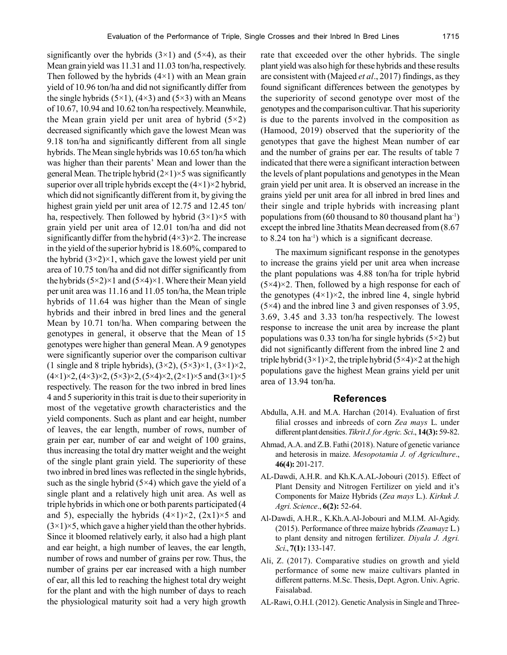significantly over the hybrids  $(3\times1)$  and  $(5\times4)$ , as their Mean grain yield was 11.31 and 11.03 ton/ha, respectively. Then followed by the hybrids  $(4\times1)$  with an Mean grain yield of 10.96 ton/ha and did not significantly differ from the single hybrids  $(5\times1)$ ,  $(4\times3)$  and  $(5\times3)$  with an Means of 10.67, 10.94 and 10.62 ton/ha respectively. Meanwhile, the Mean grain yield per unit area of hybrid  $(5\times2)$ decreased significantly which gave the lowest Mean was 9.18 ton/ha and significantly different from all single hybrids. The Mean single hybrids was 10.65 ton/ha which was higher than their parents' Mean and lower than the general Mean. The triple hybrid  $(2\times1)\times5$  was significantly superior over all triple hybrids except the  $(4\times1)\times2$  hybrid, which did not significantly different from it, by giving the highest grain yield per unit area of 12.75 and 12.45 ton/ ha, respectively. Then followed by hybrid  $(3\times1)\times5$  with grain yield per unit area of 12.01 ton/ha and did not significantly differ from the hybrid  $(4\times3)\times2$ . The increase in the yield of the superior hybrid is 18.60%, compared to the hybrid  $(3\times2)\times1$ , which gave the lowest yield per unit area of 10.75 ton/ha and did not differ significantly from the hybrids  $(5\times2)\times1$  and  $(5\times4)\times1$ . Where their Mean yield per unit area was 11.16 and 11.05 ton/ha, the Mean triple hybrids of 11.64 was higher than the Mean of single hybrids and their inbred in bred lines and the general Mean by 10.71 ton/ha. When comparing between the genotypes in general, it observe that the Mean of 15 genotypes were higher than general Mean. A 9 genotypes were significantly superior over the comparison cultivar (1 single and 8 triple hybrids),  $(3\times2)$ ,  $(5\times3)\times1$ ,  $(3\times1)\times2$ ,  $(4 \times 1) \times 2$ ,  $(4 \times 3) \times 2$ ,  $(5 \times 3) \times 2$ ,  $(5 \times 4) \times 2$ ,  $(2 \times 1) \times 5$  and  $(3 \times 1) \times 5$ respectively. The reason for the two inbred in bred lines 4 and 5 superiority in this trait is due to their superiority in most of the vegetative growth characteristics and the yield components. Such as plant and ear height, number of leaves, the ear length, number of rows, number of grain per ear, number of ear and weight of 100 grains, thus increasing the total dry matter weight and the weight of the single plant grain yield. The superiority of these two inbred in bred lines was reflected in the single hybrids, such as the single hybrid  $(5\times4)$  which gave the yield of a single plant and a relatively high unit area. As well as triple hybrids in which one or both parents participated (4 and 5), especially the hybrids  $(4\times1)\times2$ ,  $(2\times1)\times5$  and  $(3\times1)\times5$ , which gave a higher yield than the other hybrids. Since it bloomed relatively early, it also had a high plant and ear height, a high number of leaves, the ear length, number of rows and number of grains per row. Thus, the number of grains per ear increased with a high number of ear, all this led to reaching the highest total dry weight for the plant and with the high number of days to reach the physiological maturity soit had a very high growth rate that exceeded over the other hybrids. The single plant yield was also high for these hybrids and these results are consistent with (Majeed *et al*., 2017) findings, as they found significant differences between the genotypes by the superiority of second genotype over most of the genotypes and the comparison cultivar. That his superiority is due to the parents involved in the composition as (Hamood, 2019) observed that the superiority of the genotypes that gave the highest Mean number of ear and the number of grains per ear. The results of table 7 indicated that there were a significant interaction between the levels of plant populations and genotypes in the Mean grain yield per unit area. It is observed an increase in the grains yield per unit area for all inbred in bred lines and their single and triple hybrids with increasing plant populations from (60 thousand to 80 thousand plant ha<sup>-1</sup>) except the inbred line 3thatits Mean decreased from (8.67 to  $8.24$  ton ha<sup>-1</sup>) which is a significant decrease.

The maximum significant response in the genotypes to increase the grains yield per unit area when increase the plant populations was 4.88 ton/ha for triple hybrid  $(5\times4)\times2$ . Then, followed by a high response for each of the genotypes  $(4\times1)\times2$ , the inbred line 4, single hybrid (5×4) and the inbred line 3 and given responses of 3.95, 3.69, 3.45 and 3.33 ton/ha respectively. The lowest response to increase the unit area by increase the plant populations was 0.33 ton/ha for single hybrids  $(5\times2)$  but did not significantly different from the inbred line 2 and triple hybrid  $(3\times1)\times2$ , the triple hybrid  $(5\times4)\times2$  at the high populations gave the highest Mean grains yield per unit area of 13.94 ton/ha.

#### **References**

- Abdulla, A.H. and M.A. Harchan (2014). Evaluation of first filial crosses and inbreeds of corn *Zea mays* L. under different plant densities. *Tikrit J. for Agric. Sci*., **14(3):** 59-82.
- Ahmad, A.A. and Z.B. Fathi (2018). Nature of genetic variance and heterosis in maize. *Mesopotamia J. of Agriculture*., **46(4):** 201-217.
- AL-Dawdi, A.H.R. and Kh.K.A.AL-Jobouri (2015). Effect of Plant Density and Nitrogen Fertilizer on yield and it's Components for Maize Hybrids (*Zea mays* L.). *Kirkuk J. Agri. Science*., **6(2):** 52-64.
- Al-Dawdi, A.H.R., K.Kh.A.Al-Jobouri and M.I.M. Al-Agidy. (2015). Performance of three maize hybrids *(Zeamayz* L*.*) to plant density and nitrogen fertilizer. *Diyala J. Agri. Sci*., **7(1):** 133-147.
- Ali, Z. (2017). Comparative studies on growth and yield performance of some new maize cultivars planted in different patterns. M.Sc. Thesis, Dept. Agron. Univ. Agric. Faisalabad.
- AL-Rawi, O.H.I. (2012). Genetic Analysis in Single and Three-